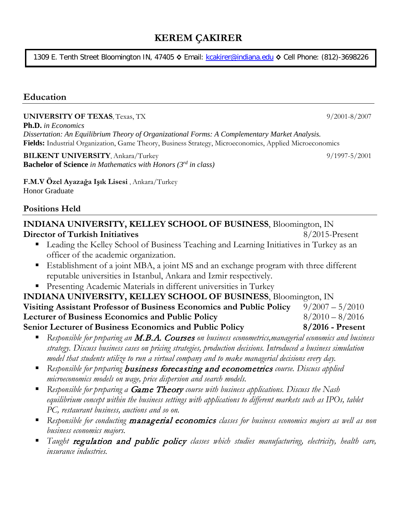# **KEREM ÇAKIRER**

1309 E. Tenth Street Bloomington IN, 47405 **◊** Email: [kcakirer@indiana.edu](mailto:kcakirer@indiana.edu) **◊** Cell Phone: (812)-3698226

### **Education**

#### **UNIVERSITY OF TEXAS**, Texas, TX 9/2001-8/2007

**Ph.D.** *in Economics Dissertation: An Equilibrium Theory of Organizational Forms: A Complementary Market Analysis.* **Fields:** Industrial Organization, Game Theory, Business Strategy, Microeconomics, Applied Microeconomics

**BILKENT UNIVERSITY**, Ankara/Turkey **1997-5/2001** 9/1997-5/2001 **Bachelor of Science** *in Mathematics with Honors (3rd in class)*

**F.M.V Özel Ayazağa Işık Lisesi** , Ankara/Turkey Honor Graduate

#### **Positions Held**

# **INDIANA UNIVERSITY, KELLEY SCHOOL OF BUSINESS**, Bloomington, IN **Director of Turkish Initiatives** 8/2015-Present

- Leading the Kelley School of Business Teaching and Learning Initiatives in Turkey as an officer of the academic organization.
- Establishment of a joint MBA, a joint MS and an exchange program with three different reputable universities in Istanbul, Ankara and Izmir respectively.
- Presenting Academic Materials in different universities in Turkey

### **INDIANA UNIVERSITY, KELLEY SCHOOL OF BUSINESS**, Bloomington, IN **Visiting Assistant Professor of Business Economics and Public Policy** 9/2007 – 5/2010 **Lecturer of Business Economics and Public Policy** 8/2010 – 8/2016 **Senior Lecturer of Business Economics and Public Policy 8/2016 - Present**

- *Responsible for preparing an* M.B.A. Courses *on business econometrics,managerial economics and business strategy. Discuss business cases on pricing strategies, production decisions. Introduced a business simulation model that students utilize to run a virtual company and to make managerial decisions every day.*
- *Responsible for preparing* business forecasting and econometrics *course. Discuss applied microeconomics models on wage, price dispersion and search models.*
- *Responsible for preparing a* Game Theory *course with business applications. Discuss the Nash equilibrium concept within the business settings with applications to different markets such as IPOs, tablet PC, restaurant business, auctions and so on.*
- *Responsible for conducting* managerial economics *classes for business economics majors as well as non business economics majors.*
- *Taught* regulation and public policy *classes which studies manufacturing, electricity, health care, insurance industries.*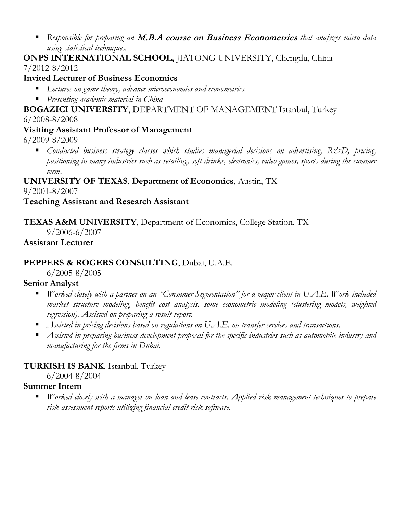*Responsible for preparing an* M.B.A course on Business Econometrics *that analyzes micro data using statistical techniques.* 

### **ONPS INTERNATIONAL SCHOOL,** JIATONG UNIVERSITY, Chengdu, China 7/2012-8/2012

### **Invited Lecturer of Business Economics**

- *Lectures on game theory, advance microeconomics and econometrics.*
- *Presenting academic material in China*

**BOGAZICI UNIVERSITY**, DEPARTMENT OF MANAGEMENT Istanbul, Turkey 6/2008-8/2008

# **Visiting Assistant Professor of Management**

6/2009-8/2009

 *Conducted business strategy classes which studies managerial decisions on advertising, R&D, pricing, positioning in many industries such as retailing, soft drinks, electronics, video games, sports during the summer term*.

### **UNIVERSITY OF TEXAS**, **Department of Economics**, Austin, TX 9/2001-8/2007

### **Teaching Assistant and Research Assistant**

# **TEXAS A&M UNIVERSITY**, Department of Economics, College Station, TX

9/2006-6/2007

### **Assistant Lecturer**

# **PEPPERS & ROGERS CONSULTING**, Dubai, U.A.E.

6/2005-8/2005

# **Senior Analyst**

- *Worked closely with a partner on an "Consumer Segmentation" for a major client in U.A.E. Work included market structure modeling, benefit cost analysis, some econometric modeling (clustering models, weighted regression). Assisted on preparing a result report.*
- *Assisted in pricing decisions based on regulations on U.A.E. on transfer services and transactions.*
- *Assisted in preparing business development proposal for the specific industries such as automobile industry and manufacturing for the firms in Dubai.*

# **TURKISH IS BANK**, Istanbul, Turkey

6/2004-8/2004

# **Summer Intern**

 *Worked closely with a manager on loan and lease contracts. Applied risk management techniques to prepare risk assessment reports utilizing financial credit risk software.*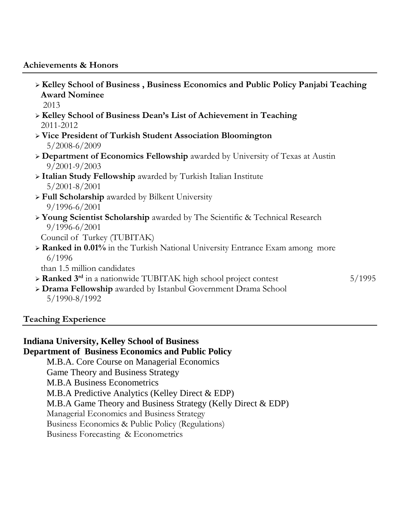#### **Achievements & Honors**

 **Kelley School of Business , Business Economics and Public Policy Panjabi Teaching Award Nominee** 2013 **Kelley School of Business Dean's List of Achievement in Teaching** 2011-2012 **Vice President of Turkish Student Association Bloomington** 5/2008-6/2009 **Department of Economics Fellowship** awarded by University of Texas at Austin 9/2001-9/2003 **Italian Study Fellowship** awarded by Turkish Italian Institute 5/2001-8/2001 **Full Scholarship** awarded by Bilkent University 9/1996-6/2001 **Young Scientist Scholarship** awarded by The Scientific & Technical Research 9/1996-6/2001 Council of Turkey (TUBITAK) **Ranked in 0.01%** in the Turkish National University Entrance Exam among more 6/1996 than 1.5 million candidates **Ranked 3<sup>rd</sup>** in a nationwide TUBITAK high school project contest 5/1995 **Drama Fellowship** awarded by Istanbul Government Drama School 5/1990-8/1992

### **Teaching Experience**

### **Indiana University, Kelley School of Business**

### **Department of Business Economics and Public Policy**

M.B.A. Core Course on Managerial Economics Game Theory and Business Strategy M.B.A Business Econometrics M.B.A Predictive Analytics (Kelley Direct & EDP) M.B.A Game Theory and Business Strategy (Kelly Direct & EDP) Managerial Economics and Business Strategy Business Economics & Public Policy (Regulations) Business Forecasting & Econometrics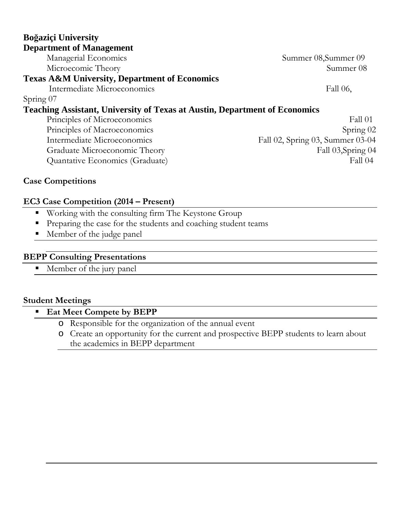| Boğaziçi University                                                               |                                  |
|-----------------------------------------------------------------------------------|----------------------------------|
| <b>Department of Management</b>                                                   |                                  |
| Managerial Economics                                                              | Summer 08, Summer 09             |
| Microecomic Theory                                                                | Summer 08                        |
| <b>Texas A&amp;M University, Department of Economics</b>                          |                                  |
| Intermediate Microeconomics                                                       | Fall 06,                         |
| Spring 07                                                                         |                                  |
| <b>Teaching Assistant, University of Texas at Austin, Department of Economics</b> |                                  |
| Principles of Microeconomics                                                      | Fall 01                          |
| Principles of Macroeconomics                                                      | Spring $02$                      |
| Intermediate Microeconomics                                                       | Fall 02, Spring 03, Summer 03-04 |
| Graduate Microeconomic Theory                                                     | Fall 03, Spring 04               |
| Quantative Economics (Graduate)                                                   | <b>Fall 04</b>                   |

### **Case Competitions**

#### **EC3 Case Competition (2014 – Present)**

- **Working with the consulting firm The Keystone Group**
- Preparing the case for the students and coaching student teams
- **Member of the judge panel**

#### **BEPP Consulting Presentations**

**Member of the jury panel** 

#### **Student Meetings**

# **Eat Meet Compete by BEPP**

- o Responsible for the organization of the annual event
- o Create an opportunity for the current and prospective BEPP students to learn about the academics in BEPP department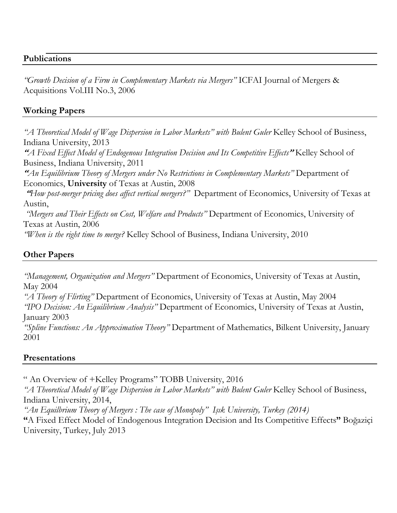#### **Publications**

*"Growth Decision of a Firm in Complementary Markets via Mergers"* ICFAI Journal of Mergers & Acquisitions Vol.III No.3, 2006

### **Working Papers**

*"A Theoretical Model of Wage Dispersion in Labor Markets" with Bulent Guler* Kelley School of Business, Indiana University, 2013

"*A Fixed Effect Model of Endogenous Integration Decision and Its Competitive Effects*" Kelley School of Business, Indiana University, 2011

"*An Equilibrium Theory of Mergers under No Restrictions in Complementary Markets"* Department of Economics, **University** of Texas at Austin, 2008

"*How post-merger pricing does affect vertical mergers?"* Department of Economics, University of Texas at Austin,

*"Mergers and Their Effects on Cost, Welfare and Products"* Department of Economics, University of Texas at Austin, 2006

*"When is the right time to merge?* Kelley School of Business, Indiana University, 2010

### **Other Papers**

*"Management, Organization and Mergers"* Department of Economics, University of Texas at Austin, May 2004

*"A Theory of Flirting"* Department of Economics, University of Texas at Austin, May 2004 *"IPO Decision: An Equilibrium Analysis"* Department of Economics, University of Texas at Austin, January 2003

*"Spline Functions: An Approximation Theory"* Department of Mathematics, Bilkent University, January 2001

#### **Presentations**

" An Overview of +Kelley Programs" TOBB University, 2016

*"A Theoretical Model of Wage Dispersion in Labor Markets" with Bulent Guler* Kelley School of Business, Indiana University, 2014,

*"An Equilbrium Theory of Mergers : The case of Monopoly" Işık University, Turkey (2014)*

**"**A Fixed Effect Model of Endogenous Integration Decision and Its Competitive Effects**"** Boğaziçi University, Turkey, July 2013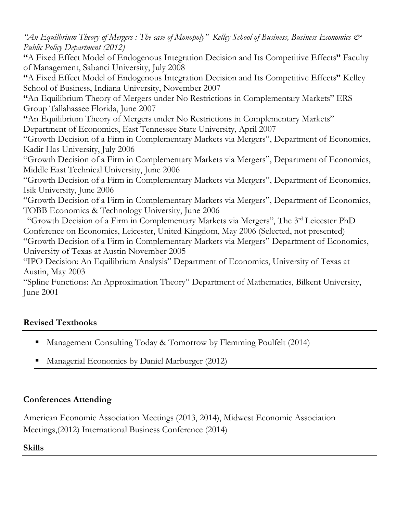*"An Equilbrium Theory of Mergers : The case of Monopoly" Kelley School of Business, Business Economics & Public Policy Department (2012)*

**"**A Fixed Effect Model of Endogenous Integration Decision and Its Competitive Effects**"** Faculty of Management, Sabanci University, July 2008

**"**A Fixed Effect Model of Endogenous Integration Decision and Its Competitive Effects**"** Kelley School of Business, Indiana University, November 2007

**"**An Equilibrium Theory of Mergers under No Restrictions in Complementary Markets" ERS Group Tallahassee Florida, June 2007

**"**An Equilibrium Theory of Mergers under No Restrictions in Complementary Markets" Department of Economics, East Tennessee State University, April 2007

"Growth Decision of a Firm in Complementary Markets via Mergers", Department of Economics, Kadir Has University, July 2006

"Growth Decision of a Firm in Complementary Markets via Mergers", Department of Economics, Middle East Technical University, June 2006

"Growth Decision of a Firm in Complementary Markets via Mergers", Department of Economics, Isik University, June 2006

"Growth Decision of a Firm in Complementary Markets via Mergers", Department of Economics, TOBB Economics & Technology University, June 2006

"Growth Decision of a Firm in Complementary Markets via Mergers", The 3rd Leicester PhD Conference on Economics, Leicester, United Kingdom, May 2006 (Selected, not presented) "Growth Decision of a Firm in Complementary Markets via Mergers" Department of Economics, University of Texas at Austin November 2005

"IPO Decision: An Equilibrium Analysis" Department of Economics, University of Texas at Austin, May 2003

"Spline Functions: An Approximation Theory" Department of Mathematics, Bilkent University, June 2001

# **Revised Textbooks**

- Management Consulting Today & Tomorrow by Flemming Poulfelt (2014)
- Managerial Economics by Daniel Marburger (2012)

# **Conferences Attending**

American Economic Association Meetings (2013, 2014), Midwest Economic Association Meetings,(2012) International Business Conference (2014)

# **Skills**